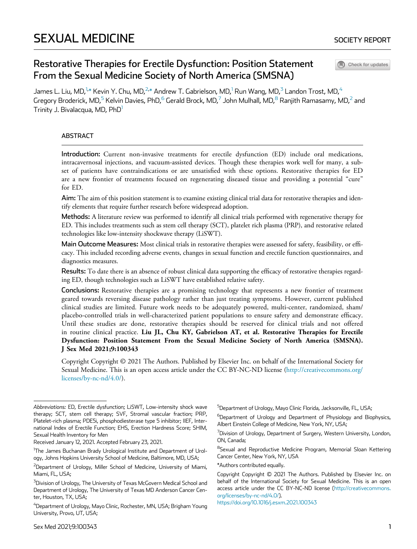Check for updates

# Restorative Therapies for Erectile Dysfunction: Position Statement From the Sexual Medicine Society of North America (SMSNA)

<span id="page-0-0"></span>James L. Liu, MD, $^{1,*}$  $^{1,*}$  $^{1,*}$  $^{1,*}$  Kevin Y. Chu, MD, $^{2,*}$  $^{2,*}$  $^{2,*}$  Andrew T. Gabrielson, MD, $^1$  $^1$  Run Wang, MD, $^3$  $^3$  Landon Trost, MD, $^4$  $^4$ Gregory Broderick, MD,<sup>[5](#page-0-0)</sup> Kelvin Davies, PhD,<sup>[6](#page-0-0)</sup> Gerald Brock, MD,<sup>[7](#page-0-0)</sup> John Mulhall, MD,<sup>[8](#page-0-0)</sup> Ranjith Ramasamy, MD,<sup>[2](#page-0-0)</sup> and Trinity J. Bivalacqua, MD, PhD<sup>[1](#page-0-0)</sup>

#### ABSTRACT

Introduction: Current non-invasive treatments for erectile dysfunction (ED) include oral medications, intracavernosal injections, and vacuum-assisted devices. Though these therapies work well for many, a subset of patients have contraindications or are unsatisfied with these options. Restorative therapies for ED are a new frontier of treatments focused on regenerating diseased tissue and providing a potential "cure" for ED.

Aim: The aim of this position statement is to examine existing clinical trial data for restorative therapies and identify elements that require further research before widespread adoption.

Methods: A literature review was performed to identify all clinical trials performed with regenerative therapy for ED. This includes treatments such as stem cell therapy (SCT), platelet rich plasma (PRP), and restorative related technologies like low-intensity shockwave therapy (LiSWT).

Main Outcome Measures: Most clinical trials in restorative therapies were assessed for safety, feasibility, or efficacy. This included recording adverse events, changes in sexual function and erectile function questionnaires, and diagnostics measures.

Results: To date there is an absence of robust clinical data supporting the efficacy of restorative therapies regarding ED, though technologies such as LiSWT have established relative safety.

Conclusions: Restorative therapies are a promising technology that represents a new frontier of treatment geared towards reversing disease pathology rather than just treating symptoms. However, current published clinical studies are limited. Future work needs to be adequately powered, multi-center, randomized, sham/ placebo-controlled trials in well-characterized patient populations to ensure safety and demonstrate efficacy. Until these studies are done, restorative therapies should be reserved for clinical trials and not offered in routine clinical practice. Liu JL, Chu KY, Gabrielson AT, et al. Restorative Therapies for Erectile Dysfunction: Position Statement From the Sexual Medicine Society of North America (SMSNA). J Sex Med 2021;9:100343

Copyright Copyright © 2021 The Authors. Published by Elsevier Inc. on behalf of the International Society for Sexual Medicine. This is an open access article under the CC BY-NC-ND license ([http://creativecommons.org/](http://creativecommons.org/licenses/by-nc-nd/4.0/) [licenses/by-nc-nd/4.0/\)](http://creativecommons.org/licenses/by-nc-nd/4.0/).

<sup>5</sup>Department of Urology, Mayo Clinic Florida, Jacksonville, FL, USA; <sup>6</sup>Department of Urology and Department of Physiology and Biophysics, Albert Einstein College of Medicine, New York, NY, USA;

 $^7$ Division of Urology, Department of Surgery, Western University, London, ON, Canada;

<sup>8</sup>Sexual and Reproductive Medicine Program, Memorial Sloan Kettering Cancer Center, New York, NY, USA

\*Authors contributed equally.

Copyright Copyright © 2021 The Authors. Published by Elsevier Inc. on behalf of the International Society for Sexual Medicine. This is an open access article under the CC BY-NC-ND license [\(http://creativecommons.](http://creativecommons.org/licenses/by-nc-nd/4.0/) [org/licenses/by-nc-nd/4.0/](http://creativecommons.org/licenses/by-nc-nd/4.0/)). <https://doi.org/10.1016/j.esxm.2021.100343>

Sex Med 2021;9:100343 1

Abbreviations: ED, Erectile dysfunction; LiSWT, Low-intensity shock wave therapy; SCT, stem cell therapy; SVF, Stromal vascular fraction; PRP, Platelet-rich plasma; PDE5i, phosphodiesterase type 5 inhibitor; IIEF, International Index of Erectile Function; EHS, Erection Hardness Score; SHIM, Sexual Health Inventory for Men

Received January 12, 2021. Accepted February 23, 2021.

<sup>&</sup>lt;sup>1</sup>The James Buchanan Brady Urological Institute and Department of Urology, Johns Hopkins University School of Medicine, Baltimore, MD, USA;

<span id="page-0-1"></span><sup>&</sup>lt;sup>2</sup>Department of Urology, Miller School of Medicine, University of Miami, Miami, FL, USA;

<sup>&</sup>lt;sup>3</sup>Division of Urology, The University of Texas McGovern Medical School and Department of Urology, The University of Texas MD Anderson Cancer Center, Houston, TX, USA;

<sup>&</sup>lt;sup>4</sup>Department of Urology, Mayo Clinic, Rochester, MN, USA; Brigham Young University, Provo, UT, USA;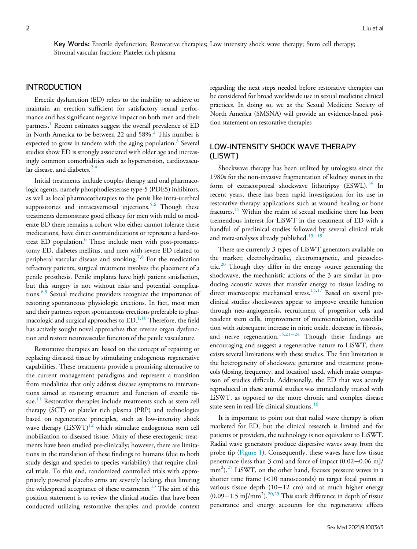Key Words: Erectile dysfunction; Restorative therapies; Low intensity shock wave therapy; Stem cell therapy; Stromal vascular fraction; Platelet rich plasma

### INTRODUCTION

Erectile dysfunction (ED) refers to the inability to achieve or maintain an erection sufficient for satisfactory sexual performance and has significant negative impact on both men and their partners.<sup>[1](#page-11-0)</sup> Recent estimates suggest the overall prevalence of ED in North America to be between [2](#page-11-1)2 and 58%.<sup>2</sup> This number is expected to grow in tandem with the aging population.<sup>[3](#page-11-2)</sup> Several studies show ED is strongly associated with older age and increasingly common comorbidities such as hypertension, cardiovascular disease, and diabetes. $2,4$  $2,4$ 

Initial treatments include couples therapy and oral pharmacologic agents, namely phosphodiesterase type-5 (PDE5) inhibitors, as well as local pharmacotherapies to the penis like intra-urethral suppositories and intracavernosal injections.<sup>[5](#page-11-4),[6](#page-11-5)</sup> Though these treatments demonstrate good efficacy for men with mild to moderate ED there remains a cohort who either cannot tolerate these medications, have direct contraindications or represent a hard-to-treat ED population.<sup>[6](#page-11-5)</sup> These include men with post-prostatectomy ED, diabetes mellitus, and men with severe ED related to peripheral vascular disease and smoking.<sup>7[,8](#page-11-7)</sup> For the medication refractory patients, surgical treatment involves the placement of a penile prosthesis. Penile implants have high patient satisfaction, but this surgery is not without risks and potential complica-tions.<sup>6,[9](#page-11-8)</sup> Sexual medicine providers recognize the importance of restoring spontaneous physiologic erections. In fact, most men and their partners report spontaneous erections preferable to phar-macologic and surgical approaches to ED.<sup>[1](#page-11-0)[,10](#page-11-9)</sup> Therefore, the field has actively sought novel approaches that reverse organ dysfunction and restore neurovascular function of the penile vasculature.

Restorative therapies are based on the concept of repairing or replacing diseased tissue by stimulating endogenous regenerative capabilities. These treatments provide a promising alternative to the current management paradigms and represent a transition from modalities that only address disease symptoms to interventions aimed at restoring structure and function of erectile tis-sue.<sup>[11](#page-11-10)</sup> Restorative therapies include treatments such as stem cell therapy (SCT) or platelet rich plasma (PRP) and technologies based on regenerative principles, such as low-intensity shock wave therapy  $(LisWT)^{12}$  $(LisWT)^{12}$  $(LisWT)^{12}$  which stimulate endogenous stem cell mobilization to diseased tissue. Many of these erectogenic treatments have been studied pre-clinically; however, there are limitations in the translation of these findings to humans (due to both study design and species to species variability) that require clinical trials. To this end, randomized controlled trials with appropriately powered placebo arms are severely lacking, thus limiting the widespread acceptance of these treatments.<sup>[13](#page-11-12)</sup> The aim of this position statement is to review the clinical studies that have been conducted utilizing restorative therapies and provide context regarding the next steps needed before restorative therapies can be considered for broad worldwide use in sexual medicine clinical practices. In doing so, we as the Sexual Medicine Society of North America (SMSNA) will provide an evidence-based position statement on restorative therapies

## LOW-INTENSITY SHOCK WAVE THERAPY (LISWT)

Shockwave therapy has been utilized by urologists since the 1980s for the non-invasive fragmentation of kidney stones in the form of extracorporeal shockwave lithotripsy  $(ESWL)$ .<sup>[14](#page-11-13)</sup> In recent years, there has been rapid investigation for its use in restorative therapy applications such as wound healing or bone fractures.[15](#page-11-14) Within the realm of sexual medicine there has been tremendous interest for LiSWT in the treatment of ED with a handful of preclinical studies followed by several clinical trials and meta-analyses already published.<sup>[15](#page-11-14)−19</sup>

There are currently 3 types of LiSWT generators available on the market; electrohydraulic, electromagnetic, and piezoelec-tric.<sup>[20](#page-11-15)</sup> Though they differ in the energy source generating the shockwave, the mechanistic actions of the 3 are similar in producing acoustic waves that transfer energy to tissue leading to direct microscopic mechanical stress.<sup>[15,](#page-11-14)[17](#page-11-16)</sup> Based on several preclinical studies shockwaves appear to improve erectile function through neo-angiogenesis, recruitment of progenitor cells and resident stem cells, improvement of microcirculation, vasodilation with subsequent increase in nitric oxide, decrease in fibrosis, and nerve regeneration.<sup>[15](#page-11-14)[,21](#page-11-17)-24</sup> Though these findings are encouraging and suggest a regenerative nature to LiSWT, there exists several limitations with these studies. The first limitation is the heterogeneity of shockwave generator and treatment protocols (dosing, frequency, and location) used, which make comparison of studies difficult. Additionally, the ED that was acutely reproduced in these animal studies was immediately treated with LiSWT, as opposed to the more chronic and complex disease state seen in real-life clinical situations.<sup>[16](#page-11-18)</sup>

It is important to point out that radial wave therapy is often marketed for ED, but the clinical research is limited and for patients or providers, the technology is not equivalent to LiSWT. Radial wave generators produce dispersive waves away from the probe tip ([Figure 1](#page-2-0)). Consequently, these waves have low tissue penetrance (less than 3 cm) and force of impact (0.02−0.06 mJ/ mm<sup>2</sup>).<sup>[25](#page-12-0)</sup> LiSWT, on the other hand, focuses pressure waves in a shorter time frame (<10 nanoseconds) to target focal points at various tissue depth (10−12 cm) and at much higher energy (0.09−1.5 mJ/mm<sup>2</sup> ).[20,](#page-11-15)[25](#page-12-0) This stark difference in depth of tissue penetrance and energy accounts for the regenerative effects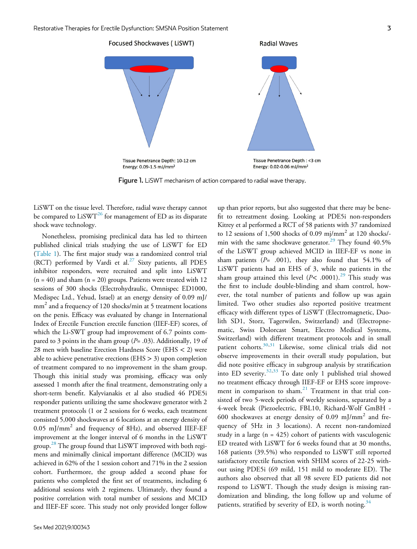<span id="page-2-0"></span>

Figure 1. LiSWT mechanism of action compared to radial wave therapy.

LiSWT on the tissue level. Therefore, radial wave therapy cannot be compared to  $LiSWT^{26}$  $LiSWT^{26}$  $LiSWT^{26}$  for management of ED as its disparate shock wave technology.

Nonetheless, promising preclinical data has led to thirteen published clinical trials studying the use of LiSWT for ED ([Table 1](#page-3-0)). The first major study was a randomized control trial (RCT) performed by Vardi et al.<sup>27</sup> Sixty patients, all PDE5 inhibitor responders, were recruited and split into LiSWT  $(n = 40)$  and sham  $(n = 20)$  groups. Patients were treated with 12 sessions of 300 shocks (Electrohydraulic, Omnispec ED1000, Medispec Ltd., Yehud, Israel) at an energy density of 0.09 mJ/ mm<sup>2</sup> and a frequency of 120 shocks/min at 5 treatment locations on the penis. Efficacy was evaluated by change in International Index of Erectile Function erectile function (IIEF-EF) scores, of which the Li-SWT group had improvement of 6.7 points compared to 3 points in the sham group ( $P = .03$ ). Additionally, 19 of 28 men with baseline Erection Hardness Score (EHS < 2) were able to achieve penetrative erections (EHS  $>$  3) upon completion of treatment compared to no improvement in the sham group. Though this initial study was promising, efficacy was only assessed 1 month after the final treatment, demonstrating only a short-term benefit. Kalyvianakis et al also studied 46 PDE5i responder patients utilizing the same shockwave generator with 2 treatment protocols (1 or 2 sessions for 6 weeks, each treatment consisted 5,000 shockwaves at 6 locations at an energy density of 0.05 mJ/mm<sup>2</sup> and frequency of 8Hz), and observed IIEF-EF improvement at the longer interval of 6 months in the LiSWT group.<sup>[28](#page-12-3)</sup> The group found that LiSWT improved with both regimens and minimally clinical important difference (MCID) was achieved in 62% of the 1 session cohort and 71% in the 2 session cohort. Furthermore, the group added a second phase for patients who completed the first set of treatments, including 6 additional sessions with 2 regimens. Ultimately, they found a positive correlation with total number of sessions and MCID and IIEF-EF score. This study not only provided longer follow

up than prior reports, but also suggested that there may be benefit to retreatment dosing. Looking at PDE5i non-responders Kitrey et al performed a RCT of 58 patients with 37 randomized to 12 sessions of 1,500 shocks of 0.09 mj/mm<sup>2</sup> at 120 shocks/- min with the same shockwave generator.<sup>[29](#page-12-4)</sup> They found  $40.5\%$ of the LiSWT group achieved MCID in IIEF-EF vs none in sham patients ( $P= .001$ ), they also found that 54.1% of LiSWT patients had an EHS of 3, while no patients in the sham group attained this level  $(P< .0001).^{29}$  $(P< .0001).^{29}$  $(P< .0001).^{29}$  This study was the first to include double-blinding and sham control, however, the total number of patients and follow up was again limited. Two other studies also reported positive treatment efficacy with different types of LiSWT (Electromagnetic, Duolith SD1, Storz, Tagerwilen, Switzerland) and (Electropnematic, Swiss Dolorcast Smart, Electro Medical Systems, Switzerland) with different treatment protocols and in small patient cohorts.<sup>[30](#page-12-5)[,31](#page-12-6)</sup> Likewise, some clinical trials did not observe improvements in their overall study population, but did note positive efficacy in subgroup analysis by stratification into ED severity.[32,](#page-12-7)[33](#page-12-8) To date only 1 published trial showed no treatment efficacy through IIEF-EF or EHS score improvement in comparison to sham. $21$  Treatment in that trial consisted of two 5-week periods of weekly sessions, separated by a 4-week break (Piezoelectric, FBL10, Richard-Wolf GmBH - 600 shockwaves at energy density of 0.09 mJ/mm<sup>2</sup> and frequency of 5Hz in 3 locations). A recent non-randomized study in a large ( $n = 425$ ) cohort of patients with vasculogenic ED treated with LiSWT for 6 weeks found that at 30 months, 168 patients (39.5%) who responded to LiSWT still reported satisfactory erectile function with SHIM scores of 22-25 without using PDE5i (69 mild, 151 mild to moderate ED). The authors also observed that all 98 severe ED patients did not respond to LiSWT. Though the study design is missing randomization and blinding, the long follow up and volume of patients, stratified by severity of ED, is worth noting.<sup>[34](#page-12-9)</sup>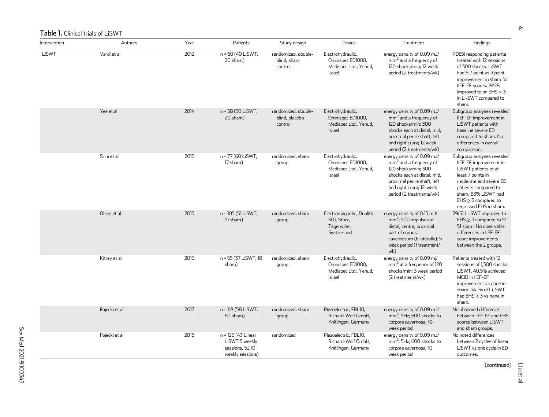<span id="page-3-0"></span>

| Intervention | Authors       | Year | Patients                                                                   | Study design                                     | Device                                                                   | Treatment                                                                                                                                                                                           | Findings                                                                                                                                                                                                                            |
|--------------|---------------|------|----------------------------------------------------------------------------|--------------------------------------------------|--------------------------------------------------------------------------|-----------------------------------------------------------------------------------------------------------------------------------------------------------------------------------------------------|-------------------------------------------------------------------------------------------------------------------------------------------------------------------------------------------------------------------------------------|
| LiSWT        | Vardi et al   | 2012 | n = 60 (40 LiSWT,<br>20 sham)                                              | randomized, double-<br>blind, sham<br>control    | Electrohydraulic,<br>Omnispec ED1000,<br>Medispec Ltd., Yehud,<br>Israel | energy density of 0.09 mJ/<br>$mm2$ and a frequency of<br>120 shocks/min; 12 week<br>period (2 treatments/wk)                                                                                       | PDE5i responding patients<br>treated with 12 sessions<br>of 300 shocks. LiSWT<br>had 6.7 point vs 3 point<br>improvement in sham for<br>IIEF-EF scores, 19/28<br>improved to an $EHS > 3$<br>in Li-SWT compared to<br>sham.         |
|              | Yee et al     | 2014 | n = 58 (30 LiSWT,<br>20 sham)                                              | randomized, double-<br>blind, placebo<br>control | Electrohydraulic,<br>Omnispec ED1000,<br>Medispec Ltd., Yehud,<br>Israel | energy density of 0.09 mJ/<br>$mm2$ and a frequency of<br>120 shocks/min; 300<br>shocks each at distal, mid,<br>proximal penile shaft, left<br>and right crura; 12 week<br>period (2 treatments/wk) | Subgroup analyses revealed<br>IIEF-EF improvement in<br>LiSWT patients with<br>baseline severe ED<br>compared to sham. No<br>differences in overall<br>comparison.                                                                  |
|              | Srini et al   | 2015 | n = 77 (60 LiSWT,<br>17 sham)                                              | randomized, sham<br>group                        | Electrohydraulic,<br>Omnispec ED1000,<br>Medispec Ltd., Yehud,<br>Israel | energy density of 0.09 mJ/<br>$mm2$ and a frequency of<br>120 shocks/min; 300<br>shocks each at distal, mid,<br>proximal penile shaft, left<br>and right crura; 12-week<br>period (2 treatments/wk) | Subgroup analyses revealed<br>IIEF-EF improvement in<br>LiSWT patients of at<br>least 7 points in<br>moderate and severe ED<br>patients compared to<br>sham. 83% LiSWT had<br>$E$ HS $\geq$ 3 compared to<br>regressed EHS in sham. |
|              | Olsen et al   | 2015 | n = 105 (51 LiSWT,<br>51 sham)                                             | randomized, sham<br>group                        | Electromagnetic, Duolith<br>SDI, Storz,<br>Tagerwilen,<br>Switzerland    | energy density of 0.15 mJ/<br>$mm^2$ ; 500 impulses at<br>distal, centre, proximal<br>part of corpora<br>cavernosum (bilaterally); 5<br>week period (1 treatment/<br>wk)                            | 29/51 Li-SWT improved to<br>EHS $\geq$ 3 compared to 5/<br>51 sham. No observable<br>differences in IIEF-EF<br>score improvements<br>between the 2 groups.                                                                          |
|              | Kitrey et al  | 2016 | n = 55 (37 LiSWT, 18<br>sham)                                              | randomized, sham<br>group                        | Electrohydraulic,<br>Omnispec ED1000,<br>Medispec Ltd., Yehud,<br>Israel | energy density of 0.09 mj/<br>mm <sup>2</sup> at a frequency of 120<br>shocks/min; 3 week period<br>(2 treatments/wk)                                                                               | Patients treated with 12<br>sessions of 1,500 shocks.<br>LiSWT, 40.5% achieved<br>MCID in IIEF-EF<br>improvement vs none in<br>sham. 54.1% of Li-SWT<br>had $EHS \geq 3$ vs none in<br>sham.                                        |
|              | Fojecki et al | 2017 | n = 118 (58 LiSWT,<br>$60$ sham $)$                                        | randomized, sham<br>group                        | Piezoelectric, FBL10,<br>Richard-Wolf GmbH,<br>Knitlingen, Germany       | energy density of 0.09 mJ/<br>$mm2$ , 5Hz: 600 shocks to<br>corpora cavernosa; 10-<br>week period                                                                                                   | No observed difference<br>between IIEF-EF and EHS<br>scores between LiSWT<br>and sham groups.                                                                                                                                       |
|              | Fojecki et al | 2018 | n = 126 (43 Linear<br>LiSWT 5 weekly<br>sessions, 5210<br>weekly sessions) | randomized                                       | Piezoelectric, FBL10,<br>Richard-Wolf GmbH,<br>Knitlingen, Germany       | energy density of 0.09 mJ/<br>$mm^2$ , 5Hz; 600 shocks to<br>corpora cavernosa; 10<br>week period                                                                                                   | No noted differences<br>between 2 cycles of linear<br>LiSWT vs one cycle in ED<br>outcomes.                                                                                                                                         |

(continued)

Liu et al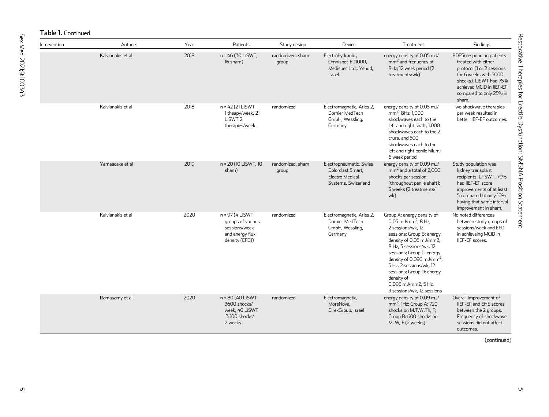| nts                                        |  |
|--------------------------------------------|--|
| ms<br>$\overline{0}$<br>75%<br>-EF<br>% in |  |
| es                                         |  |
| es                                         |  |
|                                            |  |
|                                            |  |
|                                            |  |
| D%                                         |  |
| east<br>9%<br>rval<br>1.                   |  |
| s of                                       |  |

Restorative Therapies for Erectile Dysfunction: SMSNA Position Statement

Restorative Therapies for Erectile Dysfunction: SMSNA Position Statement

# Table 1. Continued

| Intervention | Authors           | Year | Patients                                                                                   | Study design              | Device                                                                                 | Treatment                                                                                                                                                                                                                                                                                                                                                              | Findings                                                                                                                                                                                             |
|--------------|-------------------|------|--------------------------------------------------------------------------------------------|---------------------------|----------------------------------------------------------------------------------------|------------------------------------------------------------------------------------------------------------------------------------------------------------------------------------------------------------------------------------------------------------------------------------------------------------------------------------------------------------------------|------------------------------------------------------------------------------------------------------------------------------------------------------------------------------------------------------|
|              | Kalvianakis et al | 2018 | n = 46 (30 LiSWT,<br>$16$ sham $)$                                                         | randomized, sham<br>group | Electrohydraulic,<br>Omnispec ED1000,<br>Medispec Ltd., Yehud,<br>Israel               | energy density of 0.05 mJ/<br>$mm2$ and frequency of<br>8Hz; 12 week period (2)<br>treatments/wk)                                                                                                                                                                                                                                                                      | PDE5i responding patients<br>treated with either<br>protocol (1 or 2 sessions<br>for 6 weeks with 5000<br>shocks). LiSWT had 75%<br>achieved MCID in IIEF-EF<br>compared to only 25% in<br>sham.     |
|              | Kalvianakis et al | 2018 | n = 42 (21 LiSWT<br>1 theapy/week, 21<br>LiSWT <sub>2</sub><br>therapies/week              | randomized                | Electromagnetic, Aries 2,<br>Dornier MedTech<br>GmbH, Wessling,<br>Germany             | energy density of 0.05 mJ/<br>mm <sup>2</sup> , 8Hz: 1,000<br>shockwaves each to the<br>left and right shaft, 1,000<br>shockwaves each to the 2<br>crura, and 500<br>shockwaves each to the<br>left and right penile hilum;<br>6 week period                                                                                                                           | Two shockwave therapies<br>per week resulted in<br>better IIEF-EF outcomes.                                                                                                                          |
|              | Yamaacake et al   | 2019 | n = 20 (10 LiSWT, 10<br>sham)                                                              | randomized, sham<br>group | Electropneumatic, Swiss<br>Dolorclast Smart,<br>Electro Medical<br>Systems, Swizerland | energy density of 0.09 mJ/<br>$mm2$ and a total of 2,000<br>shocks per session<br>(throughout penile shaft);<br>3 weeks (2 treatments/<br>wk)                                                                                                                                                                                                                          | Study population was<br>kidney transplant<br>recipients. Li-SWT, 70%<br>had IIEF-EF score<br>improvements of at least<br>5 compared to only 10%<br>having that same interval<br>improvement in sham. |
|              | Kalvianakis et al | 2020 | n = 97 (4 LiSWT<br>groups of various<br>sessions/week<br>and energy flux<br>density (EFD)) | randomized                | Electromagnetic, Aries 2,<br>Dornier MedTech<br>GmbH, Wessling,<br>Germany             | Group A: energy density of<br>0.05 mJ/mm <sup>2</sup> , 8 Hz,<br>2 sessions/wk. 12<br>sessions; Group B: energy<br>density of 0.05 mJ/mm2,<br>8 Hz, 3 sessions/wk, 12<br>sessions; Group C: energy<br>density of 0.096 mJ/mm <sup>2</sup> ,<br>5 Hz, 2 sessions/wk, 12<br>sessions; Group D: energy<br>density of<br>0.096 mJ/mm2, 5 Hz,<br>3 sessions/wk, 12 sessions | No noted differences<br>between study groups of<br>sessions/week and EFD<br>in achieveing MCID in<br>IIEF-EF scores.                                                                                 |
|              | Ramasamy et al    | 2020 | n = 80 (40 LiSWT<br>3600 shocks/<br>week, 40 LiSWT<br>3600 shocks/<br>2 weeks              | randomized                | Electromagnetic,<br>MoreNova.<br>DirexGroup, Israel                                    | energy density of 0.09 mJ/<br>$mm2$ , IHz; Group A: 720<br>shocks on M,T,W,Th, F;<br>Group B: 600 shocks on<br>M, W, F (2 weeks)                                                                                                                                                                                                                                       | Overall improvement of<br><b>IIEF-EF and EHS scores</b><br>between the 2 groups.<br>Frequency of shockwave<br>sessions did not affect<br>outcomes.                                                   |

(continued)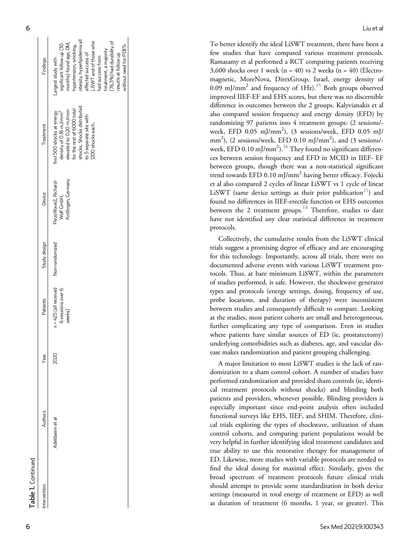| Table 1. Continued |                 |      |                                                        |                |                                                           |                                                                                                                                                                                                        |                                                                                                                                                                                                                                                             |
|--------------------|-----------------|------|--------------------------------------------------------|----------------|-----------------------------------------------------------|--------------------------------------------------------------------------------------------------------------------------------------------------------------------------------------------------------|-------------------------------------------------------------------------------------------------------------------------------------------------------------------------------------------------------------------------------------------------------------|
| ntervention        | Authors         | Year | Patients                                               | Study design   | Device                                                    | Treatment                                                                                                                                                                                              | Findings                                                                                                                                                                                                                                                    |
|                    | Adeldaeim et al | 2020 | $n = 425$ (all received<br>6 sessions over 6<br>weeks) | Non-randomized | PiezoWave2, Richard-<br>Knitlingen, Germany<br>Wolf CmbH, | shocks. Shocks distributed<br>for the rest of 6000 total<br>elevated to 0.20 mJ/mm<br>density of 0.16 mJ/mm <sup>2</sup><br>first 500 shocks at energy<br>to 5 separate site with<br>1200 shocks each. | obesity, hyperlipidemia all<br>(76.3%) had durability of<br>months) found age, DM,<br>LISWT and of those who<br>signficant follow up [30<br>hypertension, smoking,<br>treatment, a majority<br>affected success of<br>had success from<br>argest study with |

treatment, a majority (76.3%) had durability of resutls at follow up without need for PDE5i

vithout need for PDE5i resutls at follow up

To better identify the ideal LiSWT treatment, there have been a few studies that have compared various treatment protocols. Ramasamy et al performed a RCT comparing patients receiving  $3,600$  shocks over 1 week (n = 40) vs 2 weeks (n = 40) (Electromagnetic, MoreNova, DirexGroup, Israel, energy density of  $0.09 \text{ mJ/mm}^2$  and frequency of  $1 \text{Hz}$ ).<sup>[35](#page-12-10)</sup> Both groups observed improved IIEF-EF and EHS scores, but there was no discernible difference in outcomes between the 2 groups. Kalyvianakis et al also compared session frequency and energy density (EFD) by randomizing 97 patients into 4 treatment groups: (2 sessions/ week, EFD 0.05 mJ/mm 2 ), (3 sessions/week, EFD 0.05 mJ/ mm<sup>2</sup>), (2 sessions/week, EFD 0.10 mJ/mm<sup>2</sup>), and (3 sessions/week, EFD 0.10 mJ/mm<sup>2</sup>). $^{36}$  $^{36}$  $^{36}$  They found no significant differences between session frequency and EFD in MCID in IIEF- EF between groups, though there was a non-statistical signi ficant trend towards EFD 0.10 mJ/mm <sup>2</sup> having better efficacy. Fojecki et al also compared 2 cycles of linear LiSWT vs 1 cycle of linear LiSWT (same device settings as their prior publication<sup>21</sup>) and found no differences in IIEF-erectile function or EHS outcomes between the 2 treatment groups.<sup>[18](#page-11-19)</sup> Therefore, studies to date have not identi fied any clear statistical difference in treatment protocols.

Collectively, the cumulative results from the LiSWT clinical trials suggest a promising degree of efficacy and are encouraging for this technology. Importantly, across all trials, there were no documented adverse events with various LiSWT treatment protocols. Thus, at bare minimum LiSWT, within the parameters of studies performed, is safe. However, the shockwave generator types and protocols (energy settings, dosing, frequency of use, probe locations, and duration of therapy) were inconsistent between studies and consequently difficult to compare. Looking at the studies, most patient cohorts are small and heterogeneous, further complicating any type of comparison. Even in studies where patients have similar sources of ED (ie, prostatectomy) underlying comorbidities such as diabetes, age, and vascular disease makes randomization and patient grouping challenging.

A major limitation to most LiSWT studies is the lack of randomization to a sham control cohort. A number of studies have performed randomization and provided sham controls (ie, identical treatment protocols without shocks) and blinding both patients and providers, whenever possible. Blinding providers is especially important since end-point analysis often included functional surveys like EHS, IIEF, and SHIM. Therefore, clinical trials exploring the types of shockwave, utilization of sham control cohorts, and comparing patient populations would be very helpful in further identifying ideal treatment candidates and true ability to use this restorative therapy for management of ED. Likewise, more studies with variable protocols are needed to find the ideal dosing for maximal effect. Similarly, given the broad spectrum of treatment protocols future clinical trials should attempt to provide some standardization in both device settings (measured in total energy of treatment or EFD) as well as duration of treatment (6 months, 1 year, or greater). This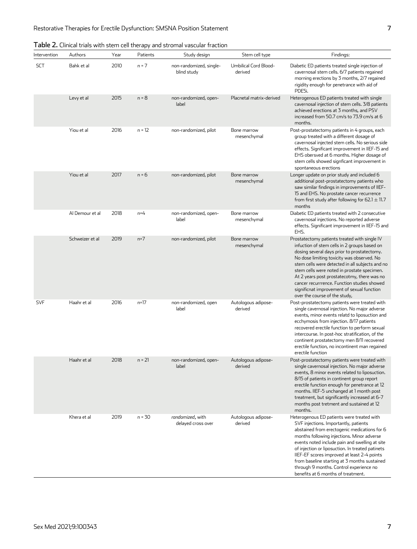| Intervention | Authors         | Year | Patients | Chinedi tridis with steril een therapy and stronnar vascular inaction<br>Study design | Stem cell type                   | Findings:                                                                                                                                                                                                                                                                                                                                                                                                                                                                 |
|--------------|-----------------|------|----------|---------------------------------------------------------------------------------------|----------------------------------|---------------------------------------------------------------------------------------------------------------------------------------------------------------------------------------------------------------------------------------------------------------------------------------------------------------------------------------------------------------------------------------------------------------------------------------------------------------------------|
| <b>SCT</b>   | Bahk et al      | 2010 | $n = 7$  | non-randomized, single-<br>blind study                                                | Umbilical Cord Blood-<br>derived | Diabetic ED patients treated single injection of<br>cavernosal stem cells. 6/7 patients regained<br>morning erections by 3 months, 2/7 regained<br>rigidity enough for penetrance with aid of<br>PDE5i.                                                                                                                                                                                                                                                                   |
|              | Levy et al      | 2015 | $n = 8$  | non-randomized, open-<br>label                                                        | Placnetal matrix-derived         | Heterogenous ED patients treated with single<br>cavernosal injection of stem cells. 3/8 patients<br>achieved erections at 3 months, and PSV<br>increased from 50.7 cm/s to 73.9 cm/s at 6<br>months.                                                                                                                                                                                                                                                                      |
|              | Yiou et al      | 2016 | $n = 12$ | non-randomized, pilot                                                                 | Bone marrow<br>mesenchymal       | Post-prostatectomy patients in 4 groups, each<br>group treated with a different dosage of<br>cavernosal injected stem cells. No serious side<br>effects. Significant improvement in IIEF-15 and<br>EHS obersved at 6 months. Higher dosage of<br>stem cells showed signficant improvement in<br>spontaneous erections                                                                                                                                                     |
|              | Yiou et al      | 2017 | n = 6    | non-randomized, pilot                                                                 | Bone marrow<br>mesenchymal       | Longer update on prior study and included 6<br>additional post-prostatectomy patients who<br>saw similar findings in improvements of IIEF-<br>15 and EHS. No prostate cancer recurrence<br>from first study after following for $62.1 \pm 11.7$<br>months                                                                                                                                                                                                                 |
|              | Al Demour et al | 2018 | $n=4$    | non-randomized, open-<br>label                                                        | Bone marrow<br>mesenchymal       | Diabetic ED patients treated with 2 consecutive<br>cavernosal injections. No reported adverse<br>effects. Significant improvement in IIEF-15 and<br>EHS.                                                                                                                                                                                                                                                                                                                  |
|              | Schweizer et al | 2019 | $n=7$    | non-randomized, pilot                                                                 | Bone marrow<br>mesenchymal       | Prostatectomy patients treated with single IV<br>infuction of stem cells in 2 groups based on<br>dosing several days prior to prostatectomy.<br>No dose limiting toxicity was observed. No<br>stem cells were detected in all subjects and no<br>stem cells were noted in prostate specimen.<br>At 2 years post prostatecotmy, there was no<br>cancer recurrrence. Function studies showed<br>significnat improvement of sexual function<br>over the course of the study, |
| <b>SVF</b>   | Haahr et al     | 2016 | $n=17$   | non-randomized, open<br>label                                                         | Autologous adipose-<br>derived   | Post-prostatectomy patients were treated with<br>single cavernosal injection. No major adverse<br>events, minor events relatd to liposuction and<br>ecchymosis from injection. 8/17 patients<br>recovered erectile function to perform sexual<br>intercourse. In post-hoc stratification, of the<br>continent prostatectomy men 8/11 recovered<br>erectile function, no incontinent man regained<br>erectile function                                                     |
|              | Haahr et al     | 2018 | $n = 21$ | non-randomized, open-<br>label                                                        | Autologous adipose-<br>derived   | Post-prostatectomy patients were treated with<br>single cavernosal injection. No major adverse<br>events, 8 minor events related to liposuction.<br>8/15 of patients in continent group report<br>erectile function enough for penetrance at 12<br>months. IIEF-5 unchanged at 1 month post<br>treatment, but significantly increased at 6-7<br>months post tretment and sustained at 12<br>months.                                                                       |
|              | Khera et al     | 2019 | $n = 30$ | randomized, with<br>delayed cross over                                                | Autologous adipose-<br>derived   | Heterogenous ED patients were treated with<br>SVF injections. Importantly, patients<br>abstained from erectogenic medications for 6<br>months following injections. Minor adverse<br>events noted include pain and swelling at site<br>of injection or liposuction. In treated patinets<br>IIEF-EF scores improved at least 2-4 points<br>from baseline starting at 3 months sustained<br>through 9 months. Control experience no<br>benefits at 6 months of treatment.   |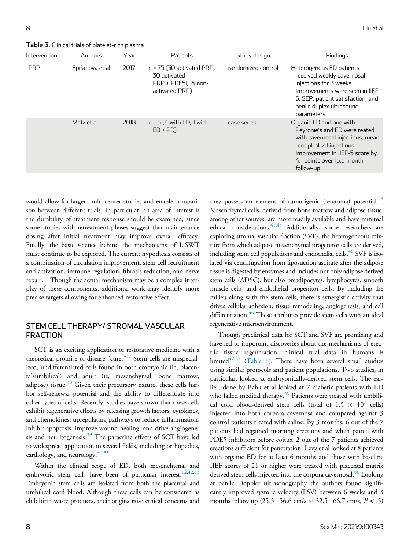Table 3. Clinical trials of platelet-rich plasma

| Intervention | Authors         | Year | Patients                                                                              | Study design       | Findings                                                                                                                                                                                                |
|--------------|-----------------|------|---------------------------------------------------------------------------------------|--------------------|---------------------------------------------------------------------------------------------------------------------------------------------------------------------------------------------------------|
| <b>PRP</b>   | Epifanova et al | 2017 | $n = 75$ (30 activated PRP,<br>30 activated<br>PRP + PDE5i, 15 non-<br>activated PRP) | randomized control | Heterogenous ED patients<br>received weekly cavernosal<br>injections for 3 weeks.<br>Improvements were seen in IIEF-<br>5, SEP, patient satisfaction, and<br>penile duplex ultrasound<br>parameters.    |
|              | Matz et al      | 2018 | $n = 5$ (4 with ED, 1 with<br>$ED + PD$                                               | case series        | Organic ED and one with<br>Peyronie's and ED were reated<br>with cavernosal injections, mean<br>receipt of 2.1 injections.<br>Improvement in IIEF-5 score by<br>4.1 points over 15.5 month<br>follow-up |

would allow for larger multi-center studies and enable comparison between different trials. In particular, an area of interest is the durability of treatment response should be examined, since some studies with retreatment phases suggest that maintenance dosing after initial treatment may improve overall efficacy. Finally, the basic science behind the mechanisms of LiSWT must continue to be explored. The current hypothesis consists of a combination of circulation improvement, stem cell recruitment and activation, immune regulation, fibrosis reduction, and nerve repair. $31$  Though the actual mechanism may be a complex interplay of these components, additional work may identify more precise targets allowing for enhanced restorative effect.

## STEM CELL THERAPY/ STROMAL VASCULAR FRACTION

SCT is an exciting application of restorative medicine with a theoretical promise of disease "cure."<sup>[37](#page-12-12)</sup> Stem cells are unspecialized, undifferentiated cells found in both embryonic (ie, placental/umbilical) and adult (ie, mesenchymal: bone marrow, adipose) tissue.<sup>[38](#page-12-13)</sup> Given their precursory nature, these cells harbor self-renewal potential and the ability to differentiate into other types of cells. Recently, studies have shown that these cells exhibit regenerative effects by releasing growth factors, cytokines, and chemokines; upregulating pathways to reduce inflammation, inhibit apoptosis, improve wound healing, and drive angiogene-sis and neuritogenesis.<sup>[39](#page-12-14)</sup> The paracrine effects of SCT have led to widespread application in several fields, including orthopedics, cardiology, and neurology.<sup>[40,](#page-12-15)[41](#page-12-16)</sup>

Within the clinical scope of ED, both mesenchymal and embryonic stem cells have been of particular interest.<sup>[12](#page-11-11),[42](#page-12-17),[43](#page-12-18)</sup> Embryonic stem cells are isolated from both the placental and umbilical cord blood. Although these cells can be considered as childbirth waste products, their origins raise ethical concerns and they possess an element of tumorigenic (teratoma) potential.<sup>[44](#page-12-19)</sup> Mesenchymal cells, derived from bone marrow and adipose tissue, among other sources, are more readily available and have minimal ethical considerations. 41[,45](#page-12-20) Additionally, some researchers are exploring stromal vascular fraction (SVF), the heterogeneous mixture from which adipose mesenchymal progenitor cells are derived, including stem cell populations and endothelial cells. $46$  SVF is isolated via centrifugation from liposuction aspirate after the adipose tissue is digested by enzymes and includes not only adipose derived stem cells (ADSC), but also preadipocytes, lymphocytes, smooth muscle cells, and endothelial progenitor cells. By including the milieu along with the stem cells, there is synergistic activity that drives cellular adhesion, tissue remodeling, angiogenesis, and cell differentiation.<sup>46</sup> These attributes provide stem cells with an ideal regenerative microenvironment.

Though preclinical data for SCT and SVF are promising and have led to important discoveries about the mechanisms of erectile tissue regeneration, clinical trial data in humans is limited $47,48$  $47,48$  ([Table 1\)](#page-3-0). There have been several small studies using similar protocols and patient populations. Two studies, in particular, looked at embryonically-derived stem cells. The earlier, done by Bahk et al looked at 7 diabetic patients with ED who failed medical therapy.<sup>[49](#page-12-24)</sup> Patients were treated with umbilical cord blood-derived stem cells (total of  $1.5 \times 10^7$  cells) injected into both corpora cavernosa and compared against 3 control patients treated with saline. By 3 months, 6 out of the 7 patients had regained morning erections and when paired with PDE5 inhibitors before coitus, 2 out of the 7 patients achieved erections sufficient for penetration. Levy et al looked at 8 patients with organic ED for at least 6 months and those with baseline IIEF scores of 21 or higher were treated with placental matrix derived stem cells injected into the corpora cavernosal.<sup>[50](#page-12-25)</sup> Looking at penile Doppler ultrasonography the authors found significantly improved systolic velocity (PSV) between 6 weeks and 3 months follow up (25.5−56.6 cm/s to 32.5−66.7 cm/s, P < .5)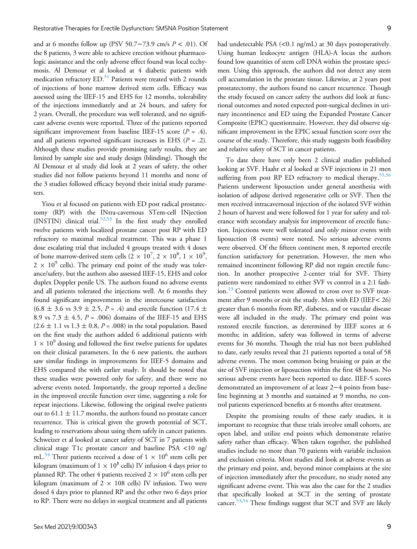and at 6 months follow up (PSV 50.7–73.9 cm/s  $P < .01$ ). Of the 8 patients, 3 were able to achieve erection without pharmacologic assistance and the only adverse effect found was local ecchymosis. Al Demour et al looked at 4 diabetic patients with medication refractory ED.<sup>[51](#page-12-26)</sup> Patients were treated with 2 rounds of injections of bone marrow derived stem cells. Efficacy was assessed using the IIEF-15 and EHS for 12 months, tolerability of the injections immediately and at 24 hours, and safety for 2 years. Overall, the procedure was well tolerated, and no significant adverse events were reported. Three of the patients reported significant improvement from baseline IIEF-15 score ( $P = .4$ ), and all patients reported significant increases in EHS  $(P = .2)$ . Although these studies provide promising early results, they are limited by sample size and study design (blinding). Though the Al Demour et al study did look at 2 years of safety, the other studies did not follow patients beyond 11 months and none of the 3 studies followed efficacy beyond their initial study parameters.

Yiou et al focused on patients with ED post radical prostatectomy (RP) with the INtra-cavernous STem-cell INjection (INSTIN) clinical trial.<sup>[52](#page-12-27),[53](#page-13-0)</sup> In the first study they enrolled twelve patients with localized prostate cancer post RP with ED refractory to maximal medical treatment. This was a phase 1 dose escalating trial that included 4 groups treated with 4 doses of bone marrow-derived stem cells  $(2 \times 10^7, 2 \times 10^8, 1 \times 10^9,$  $2 \times 10^9$  cells). The primary end point of the study was tolerance/safety, but the authors also assessed IIEF-15, EHS and color duplex Doppler penile US. The authors found no adverse events and all patients tolerated the injections well. At 6 months they found significant improvements in the intercourse satisfaction  $(6.8 \pm 3.6 \text{ vs } 3.9 \pm 2.5, P = .4)$  and erectile function  $(17.4 \pm 1.5)$ 8.9 vs 7.3  $\pm$  4.5, P = .006) domains of the IIEF-15 and EHS  $(2.6 \pm 1.1 \text{ vs } 1.3 \pm 0.8, P = .008)$  in the total population. Based on the first study the authors added 6 additional patients with  $1 \times 10^9$  dosing and followed the first twelve patients for updates on their clinical parameters. In the 6 new patients, the authors saw similar findings in improvements for IIEF-5 domains and EHS compared the with earlier study. It should be noted that these studies were powered only for safety, and there were no adverse events noted. Importantly, the group reported a decline in the improved erectile function over time, suggesting a role for repeat injections. Likewise, following the original twelve patients out to 61.1  $\pm$  11.7 months, the authors found no prostate cancer recurrence. This is critical given the growth potential of SCT, leading to reservations about using them safely in cancer patients. Schweizer et al looked at cancer safety of SCT in 7 patients with clinical stage T1c prostate cancer and baseline PSA <10 ng/ mL.<sup>[54](#page-13-1)</sup> Three patients received a dose of  $1 \times 10^6$  stem cells per kilogram (maximum of  $1 \times 10^8$  cells) IV infusion 4 days prior to planned RP. The other 4 patients received  $2 \times 10^6$  stem cells per kilogram (maximum of  $2 \times 108$  cells) IV infusion. Two were dosed 4 days prior to planned RP and the other two 6 days prior to RP. There were no delays in surgical treatment and all patients

prostatectomy, the authors found no cancer recurrence. Though the study focused on cancer safety the authors did look at functional outcomes and noted expected post-surgical declines in urinary incontinence and ED using the Expanded Prostate Cancer Composite (EPIC) questionnaire. However, they did observe significant improvement in the EPIC sexual function score over the course of the study. Therefore, this study suggests both feasibility and relative safety of SCT in cancer patients.

To date there have only been 2 clinical studies published looking at SVF. Haahr et al looked at SVF injections in 21 men suffering from post RP ED refractory to medical therapy.<sup>[55](#page-13-2)[,56](#page-13-3)</sup> Patients underwent liposuction under general anesthesia with isolation of adipose derived regenerative cells or SVF. Then the men received intracavernosal injection of the isolated SVF within 2 hours of harvest and were followed for 1 year for safety and tolerance with secondary analysis for improvement of erectile function. Injections were well tolerated and only minor events with liposuction (8 events) were noted. No serious adverse events were observed. Of the fifteen continent men, 8 reported erectile function satisfactory for penetration. However, the men who remained incontinent following RP did not regain erectile function. In another prospective 2-center trial for SVF. Thirty patients were randomized to either SVF vs control in a 2:1 fash-ion.<sup>[13](#page-11-12)</sup> Control patients were allowed to cross over to SVF treatment after 9 months or exit the study. Men with ED (IIEF< 26) greater than 6 months from RP, diabetes, and or vascular disease were all included in the study. The primary end point was restored erectile function, as determined by IIEF scores at 6 months; in addition, safety was followed in terms of adverse events for 36 months. Though the trial has not been published to date, early results reveal that 21 patients reported a total of 58 adverse events. The most common being bruising or pain at the site of SVF injection or liposuction within the first 48 hours. No serious adverse events have been reported to date. IIEF-5 scores demonstrated an improvement of at least 2−4 points from baseline beginning at 3 months and sustained at 9 months, no control patients experienced benefits at 6 months after treatment.

Despite the promising results of these early studies, it is important to recognize that these trials involve small cohorts, are open label, and utilize end points which demonstrate relative safety rather than efficacy. When taken together, the published studies include no more than 70 patients with variable inclusion and exclusion criteria. Most studies did look at adverse events as the primary end point, and, beyond minor complaints at the site of injection immediately after the procedure, no study noted any significant adverse event. This was also the case for the 2 studies that specifically looked at SCT in the setting of prostate cancer.<sup>[53,](#page-13-0)[54](#page-13-1)</sup> These findings suggest that SCT and SVF are likely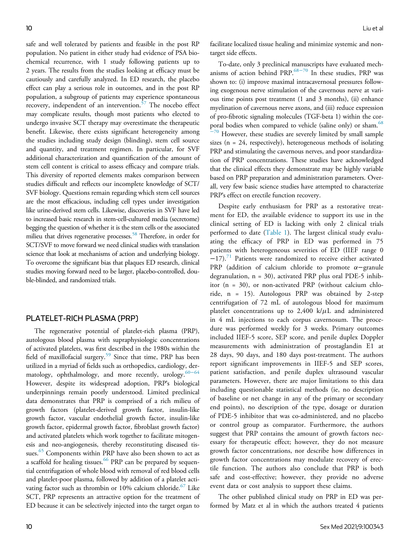safe and well tolerated by patients and feasible in the post RP population. No patient in either study had evidence of PSA biochemical recurrence, with 1 study following patients up to 2 years. The results from the studies looking at efficacy must be cautiously and carefully analyzed. In ED research, the placebo effect can play a serious role in outcomes, and in the post RP population, a subgroup of patients may experience spontaneous recovery, independent of an intervention.<sup>[57](#page-13-4)</sup> The nocebo effect may complicate results, though most patients who elected to undergo invasive SCT therapy may overestimate the therapeutic benefit. Likewise, there exists significant heterogeneity among the studies including study design (blinding), stem cell source and quantity, and treatment regimen. In particular, for SVF additional characterization and quantification of the amount of stem cell content is critical to assess efficacy and compare trials. This diversity of reported elements makes comparison between studies difficult and reflects our incomplete knowledge of SCT/ SVF biology. Questions remain regarding which stem cell sources are the most efficacious, including cell types under investigation like urine-derived stem cells. Likewise, discoveries in SVF have led to increased basic research in stem-cell-cultured media (secretome) begging the question of whether it is the stem cells or the associated milieu that drives regenerative processes.<sup>58</sup> Therefore, in order for SCT/SVF to move forward we need clinical studies with translation science that look at mechanisms of action and underlying biology. To overcome the significant bias that plaques ED research, clinical studies moving forward need to be larger, placebo-controlled, double-blinded, and randomized trials.

#### PLATELET-RICH PLASMA (PRP)

The regenerative potential of platelet-rich plasma (PRP), autologous blood plasma with supraphysiologic concentrations of activated platelets, was first described in the 1980s within the field of maxillofacial surgery.<sup>[59](#page-13-6)</sup> Since that time, PRP has been utilized in a myriad of fields such as orthopedics, cardiology, der-matology, ophthalmology, and more recently, urology.<sup>60-[64](#page-13-7)</sup> However, despite its widespread adoption, PRP's biological underpinnings remain poorly understood. Limited preclinical data demonstrates that PRP is comprised of a rich milieu of growth factors (platelet-derived growth factor, insulin-like growth factor, vascular endothelial growth factor, insulin-like growth factor, epidermal growth factor, fibroblast growth factor) and activated platelets which work together to facilitate mitogenesis and neo-angiogenesis, thereby reconstituting diseased tis-sues.<sup>[65](#page-13-8)</sup> Components within PRP have also been shown to act as a scaffold for healing tissues.<sup>[66](#page-13-9)</sup> PRP can be prepared by sequential centrifugation of whole blood with removal of red blood cells and platelet-poor plasma, followed by addition of a platelet activating factor such as thrombin or  $10\%$  calcium chloride.<sup>[67](#page-13-10)</sup> Like SCT, PRP represents an attractive option for the treatment of ED because it can be selectively injected into the target organ to facilitate localized tissue healing and minimize systemic and nontarget side effects.

To-date, only 3 preclinical manuscripts have evaluated mechanisms of action behind PRP.[68](#page-13-11)−<sup>70</sup> In these studies, PRP was shown to: (i) improve maximal intracavernosal pressures following exogenous nerve stimulation of the cavernous nerve at various time points post treatment (1 and 3 months), (ii) enhance myelination of cavernous nerve axons, and (iii) reduce expression of pro-fibrotic signaling molecules (TGF-beta 1) within the cor-poral bodies when compared to vehicle (saline only) or sham.<sup>[68](#page-13-11)</sup>  $-70$  $-70$  However, these studies are severely limited by small sample sizes (n = 24, respectively), heterogeneous methods of isolating PRP and stimulating the cavernous nerves, and poor standardization of PRP concentrations. These studies have acknowledged that the clinical effects they demonstrate may be highly variable based on PRP preparation and administration parameters. Overall, very few basic science studies have attempted to characterize PRP's effect on erectile function recovery.

Despite early enthusiasm for PRP as a restorative treatment for ED, the available evidence to support its use in the clinical setting of ED is lacking with only 2 clinical trials performed to date [\(Table 1](#page-3-0)). The largest clinical study evaluating the efficacy of PRP in ED was performed in 75 patients with heterogeneous severities of ED (IIEF range 0  $-17$ ).<sup>[71](#page-13-12)</sup> Patients were randomized to receive either activated PRP (addition of calcium chloride to promote α−granule degranulation,  $n = 30$ , activated PRP plus oral PDE-5 inhibitor (n = 30), or non-activated PRP (without calcium chloride, n = 15). Autologous PRP was obtained by 2-step centrifugation of 72 mL of autologous blood for maximum platelet concentrations up to 2,400 k/ $\mu$ L and administered in 4 mL injections to each corpus cavernosum. The procedure was performed weekly for 3 weeks. Primary outcomes included IIEF-5 score, SEP score, and penile duplex Doppler measurements with administration of prostaglandin E1 at 28 days, 90 days, and 180 days post-treatment. The authors report significant improvements in IIEF-5 and SEP scores, patient satisfaction, and penile duplex ultrasound vascular parameters. However, there are major limitations to this data including questionable statistical methods (ie, no description of baseline or net change in any of the primary or secondary end points), no description of the type, dosage or duration of PDE-5 inhibitor that was co-administered, and no placebo or control group as comparator. Furthermore, the authors suggest that PRP contains the amount of growth factors necessary for therapeutic effect; however, they do not measure growth factor concentrations, nor describe how differences in growth factor concentrations may modulate recovery of erectile function. The authors also conclude that PRP is both safe and cost-effective; however, they provide no adverse event data or cost analysis to support these claims.

The other published clinical study on PRP in ED was performed by Matz et al in which the authors treated 4 patients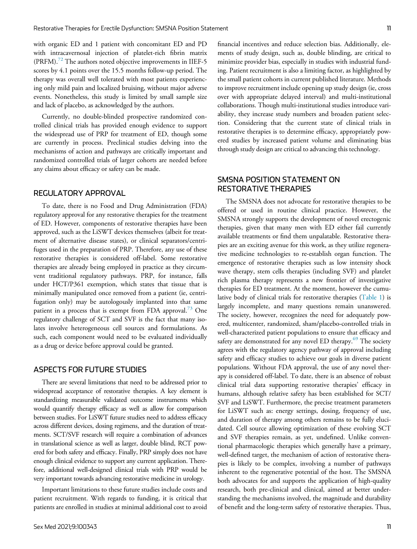with organic ED and 1 patient with concomitant ED and PD with intracavernosal injection of platelet-rich fibrin matrix  $(PRFM).<sup>72</sup>$  $(PRFM).<sup>72</sup>$  $(PRFM).<sup>72</sup>$  The authors noted objective improvements in IIEF-5 scores by 4.1 points over the 15.5 months follow-up period. The therapy was overall well tolerated with most patients experiencing only mild pain and localized bruising, without major adverse events. Nonetheless, this study is limited by small sample size and lack of placebo, as acknowledged by the authors.

Currently, no double-blinded prospective randomized controlled clinical trials has provided enough evidence to support the widespread use of PRP for treatment of ED, though some are currently in process. Preclinical studies delving into the mechanisms of action and pathways are critically important and randomized controlled trials of larger cohorts are needed before any claims about efficacy or safety can be made.

#### REGULATORY APPROVAL

To date, there is no Food and Drug Administration (FDA) regulatory approval for any restorative therapies for the treatment of ED. However, components of restorative therapies have been approved, such as the LiSWT devices themselves (albeit for treatment of alternative disease states), or clinical separators/centrifuges used in the preparation of PRP. Therefore, any use of these restorative therapies is considered off-label. Some restorative therapies are already being employed in practice as they circumvent traditional regulatory pathways. PRP, for instance, falls under HCT/P361 exemption, which states that tissue that is minimally manipulated once removed from a patient (ie, centrifugation only) may be autologously implanted into that same patient in a process that is exempt from FDA approval.<sup>[73](#page-13-14)</sup> One regulatory challenge of SCT and SVF is the fact that many isolates involve heterogeneous cell sources and formulations. As such, each component would need to be evaluated individually as a drug or device before approval could be granted.

## ASPECTS FOR FUTURE STUDIES

There are several limitations that need to be addressed prior to widespread acceptance of restorative therapies. A key element is standardizing measurable validated outcome instruments which would quantify therapy efficacy as well as allow for comparison between studies. For LiSWT future studies need to address efficacy across different devices, dosing regimens, and the duration of treatments. SCT/SVF research will require a combination of advances in translational science as well as larger, double blind, RCT powered for both safety and efficacy. Finally, PRP simply does not have enough clinical evidence to support any current application. Therefore, additional well-designed clinical trials with PRP would be very important towards advancing restorative medicine in urology.

Important limitations to these future studies include costs and patient recruitment. With regards to funding, it is critical that patients are enrolled in studies at minimal additional cost to avoid financial incentives and reduce selection bias. Additionally, elements of study design, such as, double blinding, are critical to minimize provider bias, especially in studies with industrial funding. Patient recruitment is also a limiting factor, as highlighted by the small patient cohorts in current published literature. Methods to improve recruitment include opening up study design (ie, cross over with appropriate delayed interval) and multi-institutional collaborations. Though multi-institutional studies introduce variability, they increase study numbers and broaden patient selection. Considering that the current state of clinical trials in restorative therapies is to determine efficacy, appropriately powered studies by increased patient volume and eliminating bias through study design are critical to advancing this technology.

# SMSNA POSITION STATEMENT ON RESTORATIVE THERAPIES

The SMSNA does not advocate for restorative therapies to be offered or used in routine clinical practice. However, the SMSNA strongly supports the development of novel erectogenic therapies, given that many men with ED either fail currently available treatments or find them unpalatable. Restorative therapies are an exciting avenue for this work, as they utilize regenerative medicine technologies to re-establish organ function. The emergence of restorative therapies such as low intensity shock wave therapy, stem cells therapies (including SVF) and platelet rich plasma therapy represents a new frontier of investigative therapies for ED treatment. At the moment, however the cumulative body of clinical trials for restorative therapies ([Table 1\)](#page-3-0) is largely incomplete, and many questions remain unanswered. The society, however, recognizes the need for adequately powered, multicenter, randomized, sham/placebo-controlled trials in well-characterized patient populations to ensure that efficacy and safety are demonstrated for any novel ED therapy.<sup>[69](#page-13-15)</sup> The society agrees with the regulatory agency pathway of approval including safety and efficacy studies to achieve our goals in diverse patient populations. Without FDA approval, the use of any novel therapy is considered off-label. To date, there is an absence of robust clinical trial data supporting restorative therapies' efficacy in humans, although relative safety has been established for SCT/ SVF and LiSWT. Furthermore, the precise treatment parameters for LiSWT such as: energy settings, dosing, frequency of use, and duration of therapy among others remains to be fully elucidated. Cell source allowing optimization of these evolving SCT and SVF therapies remain, as yet, undefined. Unlike conventional pharmacologic therapies which generally have a primary, well-defined target, the mechanism of action of restorative therapies is likely to be complex, involving a number of pathways inherent to the regenerative potential of the host. The SMSNA both advocates for and supports the application of high-quality research, both pre-clinical and clinical, aimed at better understanding the mechanisms involved, the magnitude and durability of benefit and the long-term safety of restorative therapies. Thus,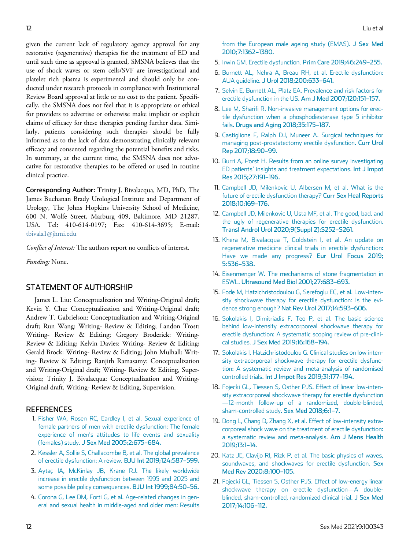<span id="page-11-7"></span><span id="page-11-6"></span><span id="page-11-5"></span><span id="page-11-4"></span>given the current lack of regulatory agency approval for any restorative (regenerative) therapies for the treatment of ED and until such time as approval is granted, SMSNA believes that the use of shock waves or stem cells/SVF are investigational and platelet rich plasma is experimental and should only be conducted under research protocols in compliance with Institutional Review Board approval at little or no cost to the patient. Specifically, the SMSNA does not feel that it is appropriate or ethical for providers to advertise or otherwise make implicit or explicit claims of efficacy for these therapies pending further data. Similarly, patients considering such therapies should be fully informed as to the lack of data demonstrating clinically relevant efficacy and consented regarding the potential benefits and risks. In summary, at the current time, the SMSNA does not advocative for restorative therapies to be offered or used in routine clinical practice.

<span id="page-11-11"></span><span id="page-11-10"></span><span id="page-11-9"></span><span id="page-11-8"></span>Corresponding Author: Trinity J. Bivalacqua, MD, PhD, The James Buchanan Brady Urological Institute and Department of Urology, The Johns Hopkins University School of Medicine, 600 N. Wolfe Street, Marburg 409, Baltimore, MD 21287, USA. Tel: 410-614-0197; Fax: 410-614-3695; E-mail: [tbivala1@jhmi.edu](mailto:tbivala1@jhmi.edu)

<span id="page-11-12"></span>Conflict of Interest: The authors report no conflicts of interest.

<span id="page-11-13"></span>Funding: None.

#### <span id="page-11-14"></span>STATEMENT OF AUTHORSHIP

<span id="page-11-18"></span><span id="page-11-16"></span>James L. Liu: Conceptualization and Writing-Original draft; Kevin Y. Chu: Conceptualization and Writing-Original draft; Andrew T. Gabrielson: Conceptualization and Writing-Original draft; Run Wang: Writing- Review & Editing; Landon Trost: Writing- Review & Editing; Gregory Broderick: Writing-Review & Editing; Kelvin Davies: Writing- Review & Editing; Gerald Brock: Writing- Review & Editing; John Mulhall: Writing- Review & Editing; Ranjith Ramasamy: Conceptualization and Writing-Original draft; Writing- Review & Editing, Supervision; Trinity J. Bivalacqua: Conceptualization and Writing-Original draft, Writing- Review & Editing, Supervision.

#### <span id="page-11-19"></span><span id="page-11-0"></span>**REFERENCES**

- 1. [Fisher WA, Rosen RC, Eardley I, et al. Sexual experience of](http://refhub.elsevier.com/S2050-1161(21)00023-4/sbref0001) [female partners of men with erectile dysfunction: The female](http://refhub.elsevier.com/S2050-1161(21)00023-4/sbref0001) experience of men'[s attitudes to life events and sexuality](http://refhub.elsevier.com/S2050-1161(21)00023-4/sbref0001) (females) study. [J Sex Med 2005;2:675](http://refhub.elsevier.com/S2050-1161(21)00023-4/sbref0001)–684.
- <span id="page-11-15"></span><span id="page-11-1"></span>2. [Kessler A, Sollie S, Challacombe B, et al. The global prevalence](http://refhub.elsevier.com/S2050-1161(21)00023-4/sbref0002) [of erectile dysfunction: A review.](http://refhub.elsevier.com/S2050-1161(21)00023-4/sbref0002) BJU Int 2019;124:587–599.
- <span id="page-11-17"></span><span id="page-11-2"></span>3. Aytaç IA, McKinlay JB, Krane RJ. The likely worldwide [increase in erectile dysfunction between 1995 and 2025 and](http://refhub.elsevier.com/S2050-1161(21)00023-4/sbref0003) [some possible policy consequences.](http://refhub.elsevier.com/S2050-1161(21)00023-4/sbref0003) BJU Int 1999;84:50–56.
- <span id="page-11-3"></span>4. [Corona G, Lee DM, Forti G, et al. Age-related changes in gen](http://refhub.elsevier.com/S2050-1161(21)00023-4/sbref0004)[eral and sexual health in middle-aged and older men: Results](http://refhub.elsevier.com/S2050-1161(21)00023-4/sbref0004)

[from the European male ageing study \(EMAS\).](http://refhub.elsevier.com/S2050-1161(21)00023-4/sbref0004) J Sex Med [2010;7:1362](http://refhub.elsevier.com/S2050-1161(21)00023-4/sbref0004)–1380.

- 5. [Irwin GM. Erectile dysfunction.](http://refhub.elsevier.com/S2050-1161(21)00023-4/sbref0005) Prim Care 2019;46:249–255.
- 6. [Burnett AL, Nehra A, Breau RH, et al. Erectile dysfunction:](http://refhub.elsevier.com/S2050-1161(21)00023-4/sbref0006) AUA guideline. [J Urol 2018;200:633](http://refhub.elsevier.com/S2050-1161(21)00023-4/sbref0006)–641.
- 7. [Selvin E, Burnett AL, Platz EA. Prevalence and risk factors for](http://refhub.elsevier.com/S2050-1161(21)00023-4/sbref0007) [erectile dysfunction in the US.](http://refhub.elsevier.com/S2050-1161(21)00023-4/sbref0007) Am J Med 2007;120:151–157.
- 8. [Lee M, Sharifi R. Non-invasive management options for erec](http://refhub.elsevier.com/S2050-1161(21)00023-4/sbref0008)[tile dysfunction when a phosphodiesterase type 5 inhibitor](http://refhub.elsevier.com/S2050-1161(21)00023-4/sbref0008) fails. [Drugs and Aging 2018;35:175](http://refhub.elsevier.com/S2050-1161(21)00023-4/sbref0008)–187.
- 9. [Castiglione F, Ralph DJ, Muneer A. Surgical techniques for](http://refhub.elsevier.com/S2050-1161(21)00023-4/sbref0009) [managing post-prostatectomy erectile dysfunction.](http://refhub.elsevier.com/S2050-1161(21)00023-4/sbref0009) Curr Urol [Rep 2017;18:90](http://refhub.elsevier.com/S2050-1161(21)00023-4/sbref0009)–99.
- 10. [Burri A, Porst H. Results from an online survey investigating](http://refhub.elsevier.com/S2050-1161(21)00023-4/sbref0010) ED patients' [insights and treatment expectations.](http://refhub.elsevier.com/S2050-1161(21)00023-4/sbref0010) Int J Impot [Res 2015;27:191](http://refhub.elsevier.com/S2050-1161(21)00023-4/sbref0010)–196.
- 11. [Campbell JD, Milenkovic U, Albersen M, et al. What is the](http://refhub.elsevier.com/S2050-1161(21)00023-4/sbref0011) [future of erectile dysfunction therapy?](http://refhub.elsevier.com/S2050-1161(21)00023-4/sbref0011) Curr Sex Heal Reports [2018;10:169](http://refhub.elsevier.com/S2050-1161(21)00023-4/sbref0011)–176.
- 12. [Campbell JD, Milenkovic U, Usta MF, et al. The good, bad, and](http://refhub.elsevier.com/S2050-1161(21)00023-4/sbref0012) [the ugly of regenerative therapies for erectile dysfunction.](http://refhub.elsevier.com/S2050-1161(21)00023-4/sbref0012) [Transl Androl Urol 2020;9\(Suppl 2\):S252](http://refhub.elsevier.com/S2050-1161(21)00023-4/sbref0012)–S261.
- 13. [Khera M, Bivalacqua T, Goldstein I, et al. An update on](http://refhub.elsevier.com/S2050-1161(21)00023-4/sbref0013) [regenerative medicine clinical trials in erectile dysfunction:](http://refhub.elsevier.com/S2050-1161(21)00023-4/sbref0013) [Have we made any progress?](http://refhub.elsevier.com/S2050-1161(21)00023-4/sbref0013) Eur Urol Focus 2019; [5:536](http://refhub.elsevier.com/S2050-1161(21)00023-4/sbref0013)–538.
- 14. [Eisenmenger W. The mechanisms of stone fragmentation in](http://refhub.elsevier.com/S2050-1161(21)00023-4/sbref0014) ESWL. [Ultrasound Med Biol 2001;27:683](http://refhub.elsevier.com/S2050-1161(21)00023-4/sbref0014)–693.
- 15. [Fode M, Hatzichristodoulou G, Serefoglu EC, et al. Low-inten](http://refhub.elsevier.com/S2050-1161(21)00023-4/sbref0015)[sity shockwave therapy for erectile dysfunction: Is the evi](http://refhub.elsevier.com/S2050-1161(21)00023-4/sbref0015)dence strong enough? [Nat Rev Urol 2017;14:593](http://refhub.elsevier.com/S2050-1161(21)00023-4/sbref0015)–606.
- 16. [Sokolakis I, Dimitriadis F, Teo P, et al. The basic science](http://refhub.elsevier.com/S2050-1161(21)00023-4/sbref0016) [behind low-intensity extracorporeal shockwave therapy for](http://refhub.elsevier.com/S2050-1161(21)00023-4/sbref0016) [erectile dysfunction: A systematic scoping review of pre-clini](http://refhub.elsevier.com/S2050-1161(21)00023-4/sbref0016)cal studies. [J Sex Med 2019;16:168](http://refhub.elsevier.com/S2050-1161(21)00023-4/sbref0016)–194.
- 17. [Sokolakis I, Hatzichristodoulou G. Clinical studies on low inten](http://refhub.elsevier.com/S2050-1161(21)00023-4/sbref0017)[sity extracorporeal shockwave therapy for erectile dysfunc](http://refhub.elsevier.com/S2050-1161(21)00023-4/sbref0017)[tion: A systematic review and meta-analysis of randomised](http://refhub.elsevier.com/S2050-1161(21)00023-4/sbref0017) controlled trials. [Int J Impot Res 2019;31:177](http://refhub.elsevier.com/S2050-1161(21)00023-4/sbref0017)–194.
- 18. [Fojecki GL, Tiessen S, Osther PJS. Effect of linear low-inten](http://refhub.elsevier.com/S2050-1161(21)00023-4/sbref0018)[sity extracorporeal shockwave therapy for erectile dysfunction](http://refhub.elsevier.com/S2050-1161(21)00023-4/sbref0018) —[12-month follow-up of a randomized, double-blinded,](http://refhub.elsevier.com/S2050-1161(21)00023-4/sbref0018) [sham-controlled study.](http://refhub.elsevier.com/S2050-1161(21)00023-4/sbref0018) Sex Med 2018;6:1–7.
- 19. [Dong L, Chang D, Zhang X, et al. Effect of low-intensity extra](http://refhub.elsevier.com/S2050-1161(21)00023-4/sbref0019)[corporeal shock wave on the treatment of erectile dysfunction:](http://refhub.elsevier.com/S2050-1161(21)00023-4/sbref0019) [a systematic review and meta-analysis.](http://refhub.elsevier.com/S2050-1161(21)00023-4/sbref0019) Am J Mens Health [2019;13:1](http://refhub.elsevier.com/S2050-1161(21)00023-4/sbref0019)–14.
- 20. [Katz JE, Clavijo RI, Rizk P, et al. The basic physics of waves,](http://refhub.elsevier.com/S2050-1161(21)00023-4/sbref0020) [soundwaves, and shockwaves for erectile dysfunction.](http://refhub.elsevier.com/S2050-1161(21)00023-4/sbref0020) Sex [Med Rev 2020;8:100](http://refhub.elsevier.com/S2050-1161(21)00023-4/sbref0020)–105.
- 21. [Fojecki GL, Tiessen S, Osther PJS. Effect of low-energy linear](http://refhub.elsevier.com/S2050-1161(21)00023-4/sbref0021) [shockwave therapy on erectile dysfunction](http://refhub.elsevier.com/S2050-1161(21)00023-4/sbref0021)—A double[blinded, sham-controlled, randomized clinical trial.](http://refhub.elsevier.com/S2050-1161(21)00023-4/sbref0021) J Sex Med [2017;14:106](http://refhub.elsevier.com/S2050-1161(21)00023-4/sbref0021)–112.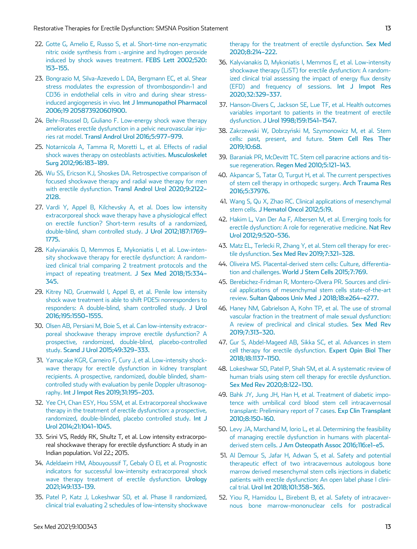- <span id="page-12-11"></span>22. [Gotte G, Amelio E, Russo S, et al. Short-time non-enzymatic](http://refhub.elsevier.com/S2050-1161(21)00023-4/sbref0022) nitric oxide synthesis from [L-arginine and hydrogen peroxide](http://refhub.elsevier.com/S2050-1161(21)00023-4/sbref0022) [induced by shock waves treatment.](http://refhub.elsevier.com/S2050-1161(21)00023-4/sbref0022) FEBS Lett 2002;520: 153–[155.](http://refhub.elsevier.com/S2050-1161(21)00023-4/sbref0022)
- 23. [Bongrazio M, Silva-Azevedo L DA, Bergmann EC, et al. Shear](http://refhub.elsevier.com/S2050-1161(21)00023-4/sbref0023) [stress modulates the expression of thrombospondin-1 and](http://refhub.elsevier.com/S2050-1161(21)00023-4/sbref0023) [CD36 in endothelial cells in vitro and during shear stress](http://refhub.elsevier.com/S2050-1161(21)00023-4/sbref0023)induced angiogenesis in vivo. [Int J Immunopathol Pharmacol](http://refhub.elsevier.com/S2050-1161(21)00023-4/sbref0023) [2006;19 205873920601900.](http://refhub.elsevier.com/S2050-1161(21)00023-4/sbref0023)
- <span id="page-12-13"></span><span id="page-12-12"></span>24. [Behr-Roussel D, Giuliano F. Low-energy shock wave therapy](http://refhub.elsevier.com/S2050-1161(21)00023-4/sbref0024) [ameliorates erectile dysfunction in a pelvic neurovascular inju](http://refhub.elsevier.com/S2050-1161(21)00023-4/sbref0024)ries rat model. [Transl Androl Urol 2016;5:977](http://refhub.elsevier.com/S2050-1161(21)00023-4/sbref0024)–979.
- <span id="page-12-14"></span><span id="page-12-0"></span>25. [Notarnicola A, Tamma R, Moretti L, et al. Effects of radial](http://refhub.elsevier.com/S2050-1161(21)00023-4/sbref0025) [shock waves therapy on osteoblasts activities.](http://refhub.elsevier.com/S2050-1161(21)00023-4/sbref0025) Musculoskelet [Surg 2012;96:183](http://refhub.elsevier.com/S2050-1161(21)00023-4/sbref0025)–189.
- <span id="page-12-15"></span><span id="page-12-1"></span>26. [Wu SS, Ericson KJ, Shoskes DA. Retrospective comparison of](http://refhub.elsevier.com/S2050-1161(21)00023-4/sbref0026) [focused shockwave therapy and radial wave therapy for men](http://refhub.elsevier.com/S2050-1161(21)00023-4/sbref0026) with erectile dysfunction. [Transl Androl Urol 2020;9:2122](http://refhub.elsevier.com/S2050-1161(21)00023-4/sbref0026)– [2128.](http://refhub.elsevier.com/S2050-1161(21)00023-4/sbref0026)
- <span id="page-12-17"></span><span id="page-12-16"></span><span id="page-12-2"></span>27. [Vardi Y, Appel B, Kilchevsky A, et al. Does low intensity](http://refhub.elsevier.com/S2050-1161(21)00023-4/sbref0027) [extracorporeal shock wave therapy have a physiological effect](http://refhub.elsevier.com/S2050-1161(21)00023-4/sbref0027) [on erectile function? Short-term results of a randomized,](http://refhub.elsevier.com/S2050-1161(21)00023-4/sbref0027) [double-blind, sham controlled study.](http://refhub.elsevier.com/S2050-1161(21)00023-4/sbref0027) J Urol 2012;187:1769– [1775.](http://refhub.elsevier.com/S2050-1161(21)00023-4/sbref0027)
- <span id="page-12-19"></span><span id="page-12-18"></span><span id="page-12-3"></span>28. [Kalyvianakis D, Memmos E, Mykoniatis I, et al. Low-inten](http://refhub.elsevier.com/S2050-1161(21)00023-4/sbref0028)[sity shockwave therapy for erectile dysfunction: A random](http://refhub.elsevier.com/S2050-1161(21)00023-4/sbref0028)[ized clinical trial comparing 2 treatment protocols and the](http://refhub.elsevier.com/S2050-1161(21)00023-4/sbref0028) [impact of repeating treatment.](http://refhub.elsevier.com/S2050-1161(21)00023-4/sbref0028) J Sex Med 2018;15:334– [345.](http://refhub.elsevier.com/S2050-1161(21)00023-4/sbref0028)
- <span id="page-12-21"></span><span id="page-12-20"></span><span id="page-12-4"></span>29. [Kitrey ND, Gruenwald I, Appel B, et al. Penile low intensity](http://refhub.elsevier.com/S2050-1161(21)00023-4/sbref0029) [shock wave treatment is able to shift PDE5i nonresponders to](http://refhub.elsevier.com/S2050-1161(21)00023-4/sbref0029) [responders: A double-blind, sham controlled study.](http://refhub.elsevier.com/S2050-1161(21)00023-4/sbref0029) J Urol [2016;195:1550](http://refhub.elsevier.com/S2050-1161(21)00023-4/sbref0029)–1555.
- <span id="page-12-22"></span><span id="page-12-5"></span>30. [Olsen AB, Persiani M, Boie S, et al. Can low-intensity extracor](http://refhub.elsevier.com/S2050-1161(21)00023-4/sbref0030)[poreal shockwave therapy improve erectile dysfunction? A](http://refhub.elsevier.com/S2050-1161(21)00023-4/sbref0030) [prospective, randomized, double-blind, placebo-controlled](http://refhub.elsevier.com/S2050-1161(21)00023-4/sbref0030) study. [Scand J Urol 2015;49:329](http://refhub.elsevier.com/S2050-1161(21)00023-4/sbref0030)–333.
- <span id="page-12-23"></span><span id="page-12-6"></span>31. [Yamacake KGR, Carneiro F, Cury J, et al. Low-intensity shock](http://refhub.elsevier.com/S2050-1161(21)00023-4/sbref0031) [wave therapy for erectile dysfunction in kidney transplant](http://refhub.elsevier.com/S2050-1161(21)00023-4/sbref0031) [recipients. A prospective, randomized, double blinded, sham](http://refhub.elsevier.com/S2050-1161(21)00023-4/sbref0031)[controlled study with evaluation by penile Doppler ultrasonog](http://refhub.elsevier.com/S2050-1161(21)00023-4/sbref0031)raphy. [Int J Impot Res 2019;31:195](http://refhub.elsevier.com/S2050-1161(21)00023-4/sbref0031)–203.
- <span id="page-12-24"></span><span id="page-12-7"></span>32. [Yee CH, Chan ESY, Hou SSM, et al. Extracorporeal shockwave](http://refhub.elsevier.com/S2050-1161(21)00023-4/sbref0032) [therapy in the treatment of erectile dysfunction: a prospective,](http://refhub.elsevier.com/S2050-1161(21)00023-4/sbref0032) [randomized, double-blinded, placebo controlled study.](http://refhub.elsevier.com/S2050-1161(21)00023-4/sbref0032) Int J [Urol 2014;21:1041](http://refhub.elsevier.com/S2050-1161(21)00023-4/sbref0032)–1045.
- <span id="page-12-25"></span><span id="page-12-8"></span>33. Srini VS, Reddy RK, Shultz T, et al. Low intensity extracorporeal shockwave therapy for erectile dysfunction: A study in an Indian population. Vol 22.; 2015.
- <span id="page-12-26"></span><span id="page-12-9"></span>34. [Adeldaeim HM, Abouyoussif T, Gebaly O El, et al. Prognostic](http://refhub.elsevier.com/S2050-1161(21)00023-4/sbref0034) [indicators for successful low-intensity extracorporeal shock](http://refhub.elsevier.com/S2050-1161(21)00023-4/sbref0034) [wave therapy treatment of erectile dysfunction.](http://refhub.elsevier.com/S2050-1161(21)00023-4/sbref0034) Urology [2021;149:133](http://refhub.elsevier.com/S2050-1161(21)00023-4/sbref0034)–139.
- <span id="page-12-27"></span><span id="page-12-10"></span>35. [Patel P, Katz J, Lokeshwar SD, et al. Phase II randomized,](http://refhub.elsevier.com/S2050-1161(21)00023-4/sbref0035) [clinical trial evaluating 2 schedules of low-intensity shockwave](http://refhub.elsevier.com/S2050-1161(21)00023-4/sbref0035)
- 36. [Kalyvianakis D, Mykoniatis I, Memmos E, et al. Low-intensity](http://refhub.elsevier.com/S2050-1161(21)00023-4/sbref0036) [shockwave therapy \(LiST\) for erectile dysfunction: A random](http://refhub.elsevier.com/S2050-1161(21)00023-4/sbref0036)[ized clinical trial assessing the impact of energy flux density](http://refhub.elsevier.com/S2050-1161(21)00023-4/sbref0036) [\(EFD\) and frequency of sessions.](http://refhub.elsevier.com/S2050-1161(21)00023-4/sbref0036) Int J Impot Res [2020;32:329](http://refhub.elsevier.com/S2050-1161(21)00023-4/sbref0036)–337.
- 37. [Hanson-Divers C, Jackson SE, Lue TF, et al. Health outcomes](http://refhub.elsevier.com/S2050-1161(21)00023-4/sbref0037) [variables important to patients in the treatment of erectile](http://refhub.elsevier.com/S2050-1161(21)00023-4/sbref0037) dysfunction. [J Urol 1998;159:1541](http://refhub.elsevier.com/S2050-1161(21)00023-4/sbref0037)–1547.
- 38. [Zakrzewski W, Dobrzy](http://refhub.elsevier.com/S2050-1161(21)00023-4/sbref0038)ń[ski M, Szymonowicz M, et al. Stem](http://refhub.elsevier.com/S2050-1161(21)00023-4/sbref0038) [cells: past, present, and future.](http://refhub.elsevier.com/S2050-1161(21)00023-4/sbref0038) Stem Cell Res Ther [2019;10:68.](http://refhub.elsevier.com/S2050-1161(21)00023-4/sbref0038)
- 39. [Baraniak PR, McDevitt TC. Stem cell paracrine actions and tis](http://refhub.elsevier.com/S2050-1161(21)00023-4/sbref0039)sue regeneration. [Regen Med 2010;5:121](http://refhub.elsevier.com/S2050-1161(21)00023-4/sbref0039)–143.
- 40. [Akpancar S, Tatar O, Turgut H, et al. The current perspectives](http://refhub.elsevier.com/S2050-1161(21)00023-4/sbref0040) [of stem cell therapy in orthopedic surgery.](http://refhub.elsevier.com/S2050-1161(21)00023-4/sbref0040) Arch Trauma Res [2016;5:37976.](http://refhub.elsevier.com/S2050-1161(21)00023-4/sbref0040)
- 41. [Wang S, Qu X, Zhao RC. Clinical applications of mesenchymal](http://refhub.elsevier.com/S2050-1161(21)00023-4/sbref0041) stem cells. [J Hematol Oncol 2012;5:19.](http://refhub.elsevier.com/S2050-1161(21)00023-4/sbref0041)
- 42. [Hakim L, Van Der Aa F, Albersen M, et al. Emerging tools for](http://refhub.elsevier.com/S2050-1161(21)00023-4/sbref0042) [erectile dysfunction: A role for regenerative medicine.](http://refhub.elsevier.com/S2050-1161(21)00023-4/sbref0042) Nat Rev [Urol 2012;9:520](http://refhub.elsevier.com/S2050-1161(21)00023-4/sbref0042)–536.
- 43. [Matz EL, Terlecki R, Zhang Y, et al. Stem cell therapy for erec](http://refhub.elsevier.com/S2050-1161(21)00023-4/sbref0043)tile dysfunction. [Sex Med Rev 2019;7:321](http://refhub.elsevier.com/S2050-1161(21)00023-4/sbref0043)–328.
- 44. [Oliveira MS. Placental-derived stem cells: Culture, differentia](http://refhub.elsevier.com/S2050-1161(21)00023-4/sbref0044)tion and challenges. [World J Stem Cells 2015;7:769.](http://refhub.elsevier.com/S2050-1161(21)00023-4/sbref0044)
- 45. [Berebichez-Fridman R, Montero-Olvera PR. Sources and clini](http://refhub.elsevier.com/S2050-1161(21)00023-4/sbref0045)[cal applications of mesenchymal stem cells state-of-the-art](http://refhub.elsevier.com/S2050-1161(21)00023-4/sbref0045) review. [Sultan Qaboos Univ Med J 2018;18:e264](http://refhub.elsevier.com/S2050-1161(21)00023-4/sbref0045)–e277.
- 46. [Haney NM, Gabrielson A, Kohn TP, et al. The use of stromal](http://refhub.elsevier.com/S2050-1161(21)00023-4/sbref0046) [vascular fraction in the treatment of male sexual dysfunction:](http://refhub.elsevier.com/S2050-1161(21)00023-4/sbref0046) [A review of preclinical and clinical studies.](http://refhub.elsevier.com/S2050-1161(21)00023-4/sbref0046) Sex Med Rev [2019;7:313](http://refhub.elsevier.com/S2050-1161(21)00023-4/sbref0046)–320.
- 47. [Gur S, Abdel-Mageed AB, Sikka SC, et al. Advances in stem](http://refhub.elsevier.com/S2050-1161(21)00023-4/sbref0047) [cell therapy for erectile dysfunction.](http://refhub.elsevier.com/S2050-1161(21)00023-4/sbref0047) Expert Opin Biol Ther [2018;18:1137](http://refhub.elsevier.com/S2050-1161(21)00023-4/sbref0047)–1150.
- 48. [Lokeshwar SD, Patel P, Shah SM, et al. A systematic review of](http://refhub.elsevier.com/S2050-1161(21)00023-4/sbref0048) [human trials using stem cell therapy for erectile dysfunction.](http://refhub.elsevier.com/S2050-1161(21)00023-4/sbref0048) [Sex Med Rev 2020;8:122](http://refhub.elsevier.com/S2050-1161(21)00023-4/sbref0048)–130.
- 49. [Bahk JY, Jung JH, Han H, et al. Treatment of diabetic impo](http://refhub.elsevier.com/S2050-1161(21)00023-4/sbref0049)[tence with umbilical cord blood stem cell intracavernosal](http://refhub.elsevier.com/S2050-1161(21)00023-4/sbref0049) [transplant: Preliminary report of 7 cases.](http://refhub.elsevier.com/S2050-1161(21)00023-4/sbref0049) Exp Clin Transplant [2010;8:150](http://refhub.elsevier.com/S2050-1161(21)00023-4/sbref0049)–160.
- 50. [Levy JA, Marchand M, Iorio L, et al. Determining the feasibility](http://refhub.elsevier.com/S2050-1161(21)00023-4/sbref0050) [of managing erectile dysfunction in humans with placental](http://refhub.elsevier.com/S2050-1161(21)00023-4/sbref0050)derived stem cells. [J Am Osteopath Assoc 2016;116:e1](http://refhub.elsevier.com/S2050-1161(21)00023-4/sbref0050)–e5.
- 51. [Al Demour S, Jafar H, Adwan S, et al. Safety and potential](http://refhub.elsevier.com/S2050-1161(21)00023-4/sbref0051) [therapeutic effect of two intracavernous autologous bone](http://refhub.elsevier.com/S2050-1161(21)00023-4/sbref0051) [marrow derived mesenchymal stem cells injections in diabetic](http://refhub.elsevier.com/S2050-1161(21)00023-4/sbref0051) [patients with erectile dysfunction: An open label phase I clini](http://refhub.elsevier.com/S2050-1161(21)00023-4/sbref0051)cal trial. [Urol Int 2018;101:358](http://refhub.elsevier.com/S2050-1161(21)00023-4/sbref0051)–365.
- 52. [Yiou R, Hamidou L, Birebent B, et al. Safety of intracaver](http://refhub.elsevier.com/S2050-1161(21)00023-4/sbref0052)[nous bone marrow-mononuclear cells for postradical](http://refhub.elsevier.com/S2050-1161(21)00023-4/sbref0052)